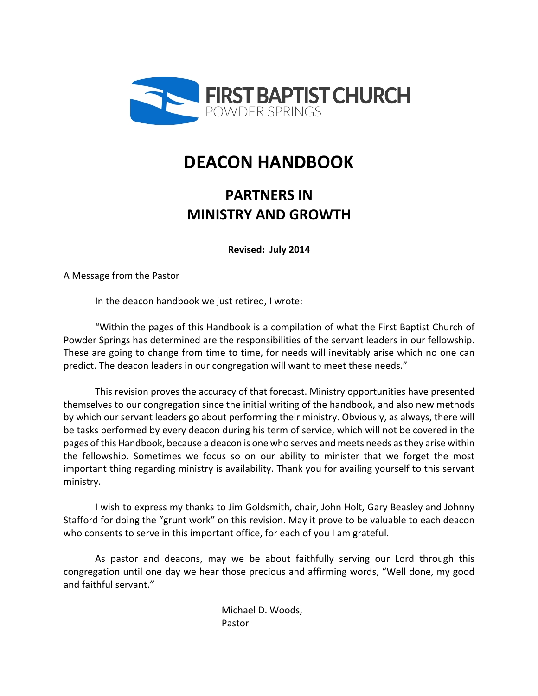

# **DEACON HANDBOOK**

## **PARTNERS IN MINISTRY AND GROWTH**

**Revised: July 2014**

A Message from the Pastor 

In the deacon handbook we just retired, I wrote:

"Within the pages of this Handbook is a compilation of what the First Baptist Church of Powder Springs has determined are the responsibilities of the servant leaders in our fellowship. These are going to change from time to time, for needs will inevitably arise which no one can predict. The deacon leaders in our congregation will want to meet these needs."

This revision proves the accuracy of that forecast. Ministry opportunities have presented themselves to our congregation since the initial writing of the handbook, and also new methods by which our servant leaders go about performing their ministry. Obviously, as always, there will be tasks performed by every deacon during his term of service, which will not be covered in the pages of this Handbook, because a deacon is one who serves and meets needs as they arise within the fellowship. Sometimes we focus so on our ability to minister that we forget the most important thing regarding ministry is availability. Thank you for availing yourself to this servant ministry.

I wish to express my thanks to Jim Goldsmith, chair, John Holt, Gary Beasley and Johnny Stafford for doing the "grunt work" on this revision. May it prove to be valuable to each deacon who consents to serve in this important office, for each of you I am grateful.

As pastor and deacons, may we be about faithfully serving our Lord through this congregation until one day we hear those precious and affirming words, "Well done, my good and faithful servant."

> Michael D. Woods, Pastor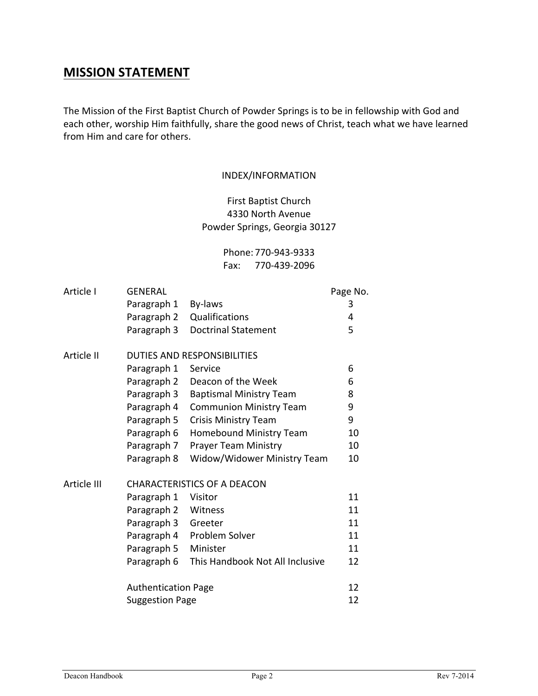### **MISSION STATEMENT**

The Mission of the First Baptist Church of Powder Springs is to be in fellowship with God and each other, worship Him faithfully, share the good news of Christ, teach what we have learned from Him and care for others.

#### INDEX/INFORMATION

First Baptist Church 4330 North Avenue Powder Springs, Georgia 30127

> Phone: 770-943-9333 Fax: 770-439-2096

| Article I   | <b>GENERAL</b>                     |                                 | Page No. |
|-------------|------------------------------------|---------------------------------|----------|
|             | Paragraph 1                        | By-laws                         | 3        |
|             | Paragraph 2                        | Qualifications                  | 4        |
|             | Paragraph 3                        | <b>Doctrinal Statement</b>      | 5        |
| Article II  | <b>DUTIES AND RESPONSIBILITIES</b> |                                 |          |
|             | Paragraph 1                        | Service                         | 6        |
|             | Paragraph 2                        | Deacon of the Week              | 6        |
|             | Paragraph 3                        | <b>Baptismal Ministry Team</b>  | 8        |
|             | Paragraph 4                        | <b>Communion Ministry Team</b>  | 9        |
|             | Paragraph 5                        | <b>Crisis Ministry Team</b>     | 9        |
|             | Paragraph 6                        | <b>Homebound Ministry Team</b>  | 10       |
|             | Paragraph 7                        | <b>Prayer Team Ministry</b>     | 10       |
|             | Paragraph 8                        | Widow/Widower Ministry Team     | 10       |
| Article III | <b>CHARACTERISTICS OF A DEACON</b> |                                 |          |
|             | Paragraph 1                        | Visitor                         | 11       |
|             | Paragraph 2                        | Witness                         | 11       |
|             | Paragraph 3                        | Greeter                         | 11       |
|             | Paragraph 4                        | Problem Solver                  | 11       |
|             | Paragraph 5                        | Minister                        | 11       |
|             | Paragraph 6                        | This Handbook Not All Inclusive | 12       |
|             | <b>Authentication Page</b>         |                                 | 12       |
|             | <b>Suggestion Page</b>             |                                 | 12       |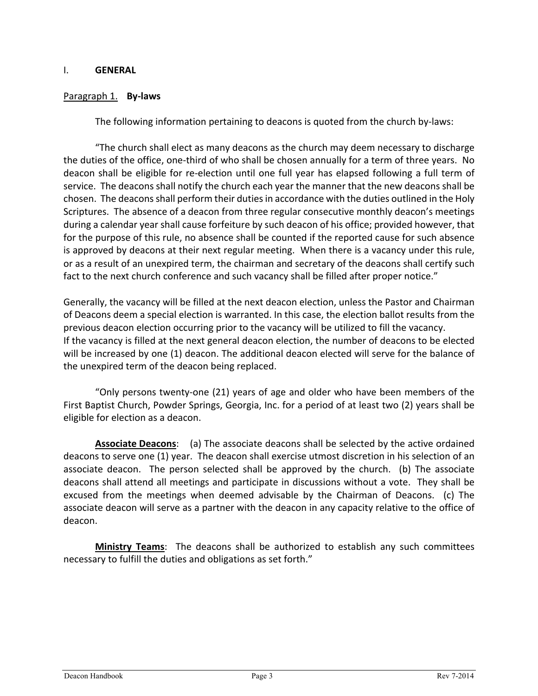#### I. **GENERAL**

#### Paragraph 1. **By-laws**

The following information pertaining to deacons is quoted from the church by-laws:

"The church shall elect as many deacons as the church may deem necessary to discharge the duties of the office, one-third of who shall be chosen annually for a term of three years. No deacon shall be eligible for re-election until one full year has elapsed following a full term of service. The deacons shall notify the church each year the manner that the new deacons shall be chosen. The deacons shall perform their duties in accordance with the duties outlined in the Holy Scriptures. The absence of a deacon from three regular consecutive monthly deacon's meetings during a calendar year shall cause forfeiture by such deacon of his office; provided however, that for the purpose of this rule, no absence shall be counted if the reported cause for such absence is approved by deacons at their next regular meeting. When there is a vacancy under this rule, or as a result of an unexpired term, the chairman and secretary of the deacons shall certify such fact to the next church conference and such vacancy shall be filled after proper notice."

Generally, the vacancy will be filled at the next deacon election, unless the Pastor and Chairman of Deacons deem a special election is warranted. In this case, the election ballot results from the previous deacon election occurring prior to the vacancy will be utilized to fill the vacancy. If the vacancy is filled at the next general deacon election, the number of deacons to be elected will be increased by one (1) deacon. The additional deacon elected will serve for the balance of the unexpired term of the deacon being replaced.

"Only persons twenty-one (21) years of age and older who have been members of the First Baptist Church, Powder Springs, Georgia, Inc. for a period of at least two (2) years shall be eligible for election as a deacon.

**Associate Deacons:** (a) The associate deacons shall be selected by the active ordained deacons to serve one (1) year. The deacon shall exercise utmost discretion in his selection of an associate deacon. The person selected shall be approved by the church. (b) The associate deacons shall attend all meetings and participate in discussions without a vote. They shall be excused from the meetings when deemed advisable by the Chairman of Deacons. (c) The associate deacon will serve as a partner with the deacon in any capacity relative to the office of deacon.

Ministry Teams: The deacons shall be authorized to establish any such committees necessary to fulfill the duties and obligations as set forth."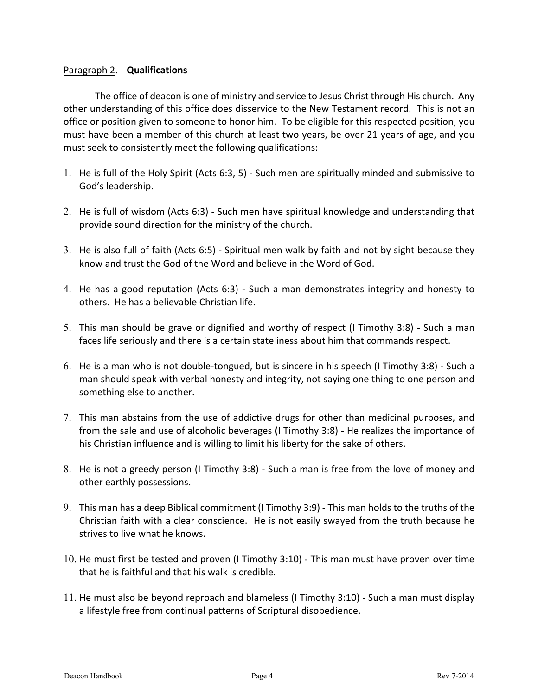#### Paragraph 2. **Qualifications**

The office of deacon is one of ministry and service to Jesus Christ through His church. Any other understanding of this office does disservice to the New Testament record. This is not an office or position given to someone to honor him. To be eligible for this respected position, you must have been a member of this church at least two years, be over 21 years of age, and you must seek to consistently meet the following qualifications:

- 1. He is full of the Holy Spirit (Acts 6:3, 5) Such men are spiritually minded and submissive to God's leadership.
- 2. He is full of wisdom (Acts 6:3) Such men have spiritual knowledge and understanding that provide sound direction for the ministry of the church.
- 3. He is also full of faith (Acts  $6:5$ ) Spiritual men walk by faith and not by sight because they know and trust the God of the Word and believe in the Word of God.
- 4. He has a good reputation (Acts 6:3) Such a man demonstrates integrity and honesty to others. He has a believable Christian life.
- 5. This man should be grave or dignified and worthy of respect (I Timothy 3:8) Such a man faces life seriously and there is a certain stateliness about him that commands respect.
- 6. He is a man who is not double-tongued, but is sincere in his speech (I Timothy 3:8) Such a man should speak with verbal honesty and integrity, not saying one thing to one person and something else to another.
- 7. This man abstains from the use of addictive drugs for other than medicinal purposes, and from the sale and use of alcoholic beverages (I Timothy 3:8) - He realizes the importance of his Christian influence and is willing to limit his liberty for the sake of others.
- 8. He is not a greedy person (I Timothy 3:8) Such a man is free from the love of money and other earthly possessions.
- 9. This man has a deep Biblical commitment (I Timothy 3:9) This man holds to the truths of the Christian faith with a clear conscience. He is not easily swayed from the truth because he strives to live what he knows.
- 10. He must first be tested and proven (I Timothy 3:10) This man must have proven over time that he is faithful and that his walk is credible.
- 11. He must also be beyond reproach and blameless (I Timothy 3:10) Such a man must display a lifestyle free from continual patterns of Scriptural disobedience.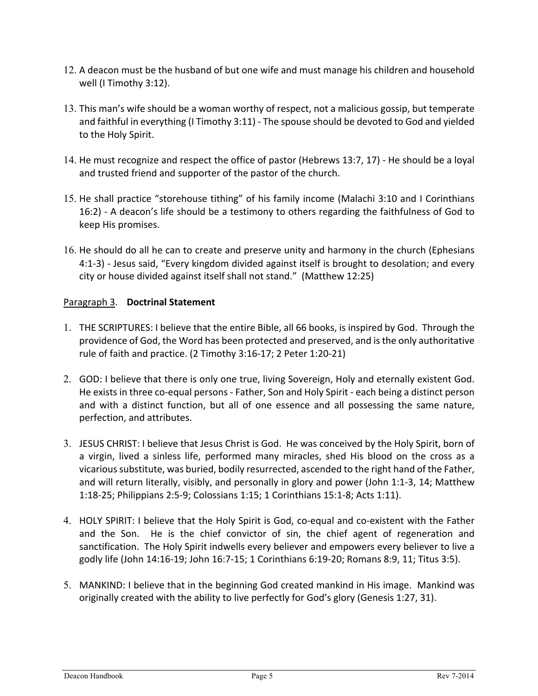- 12. A deacon must be the husband of but one wife and must manage his children and household well (I Timothy 3:12).
- 13. This man's wife should be a woman worthy of respect, not a malicious gossip, but temperate and faithful in everything  $(I$  Timothy 3:11) - The spouse should be devoted to God and yielded to the Holy Spirit.
- 14. He must recognize and respect the office of pastor (Hebrews 13:7, 17) He should be a loyal and trusted friend and supporter of the pastor of the church.
- 15. He shall practice "storehouse tithing" of his family income (Malachi 3:10 and I Corinthians 16:2) - A deacon's life should be a testimony to others regarding the faithfulness of God to keep His promises.
- 16. He should do all he can to create and preserve unity and harmony in the church (Ephesians 4:1-3) - Jesus said, "Every kingdom divided against itself is brought to desolation; and every city or house divided against itself shall not stand." (Matthew 12:25)

#### Paragraph 3. **Doctrinal Statement**

- 1. THE SCRIPTURES: I believe that the entire Bible, all 66 books, is inspired by God. Through the providence of God, the Word has been protected and preserved, and is the only authoritative rule of faith and practice. (2 Timothy 3:16-17; 2 Peter 1:20-21)
- 2. GOD: I believe that there is only one true, living Sovereign, Holy and eternally existent God. He exists in three co-equal persons - Father, Son and Holy Spirit - each being a distinct person and with a distinct function, but all of one essence and all possessing the same nature, perfection, and attributes.
- 3. JESUS CHRIST: I believe that Jesus Christ is God. He was conceived by the Holy Spirit, born of a virgin, lived a sinless life, performed many miracles, shed His blood on the cross as a vicarious substitute, was buried, bodily resurrected, ascended to the right hand of the Father, and will return literally, visibly, and personally in glory and power (John 1:1-3, 14; Matthew 1:18-25; Philippians 2:5-9; Colossians 1:15; 1 Corinthians 15:1-8; Acts 1:11).
- 4. HOLY SPIRIT: I believe that the Holy Spirit is God, co-equal and co-existent with the Father and the Son. He is the chief convictor of sin, the chief agent of regeneration and sanctification. The Holy Spirit indwells every believer and empowers every believer to live a godly life (John 14:16-19; John 16:7-15; 1 Corinthians 6:19-20; Romans 8:9, 11; Titus 3:5).
- 5. MANKIND: I believe that in the beginning God created mankind in His image. Mankind was originally created with the ability to live perfectly for God's glory (Genesis 1:27, 31).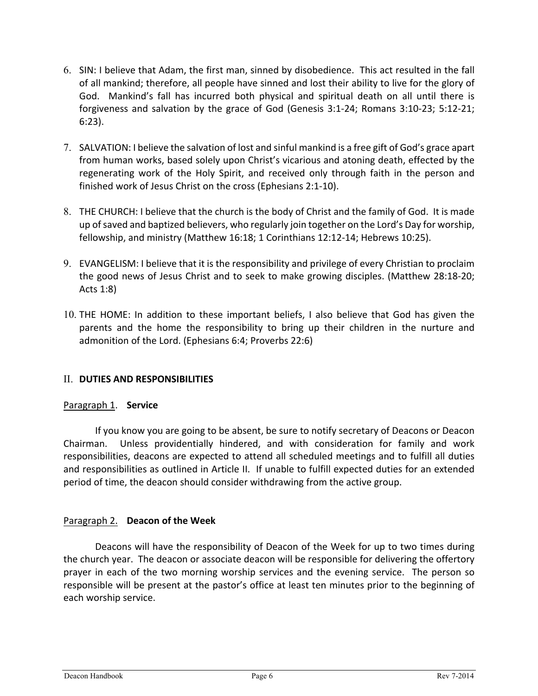- 6. SIN: I believe that Adam, the first man, sinned by disobedience. This act resulted in the fall of all mankind; therefore, all people have sinned and lost their ability to live for the glory of God. Mankind's fall has incurred both physical and spiritual death on all until there is forgiveness and salvation by the grace of God (Genesis  $3:1-24$ ; Romans  $3:10-23$ ;  $5:12-21$ ; 6:23).
- 7. SALVATION: I believe the salvation of lost and sinful mankind is a free gift of God's grace apart from human works, based solely upon Christ's vicarious and atoning death, effected by the regenerating work of the Holy Spirit, and received only through faith in the person and finished work of Jesus Christ on the cross (Ephesians 2:1-10).
- 8. THE CHURCH: I believe that the church is the body of Christ and the family of God. It is made up of saved and baptized believers, who regularly join together on the Lord's Day for worship, fellowship, and ministry (Matthew 16:18; 1 Corinthians 12:12-14; Hebrews 10:25).
- 9. EVANGELISM: I believe that it is the responsibility and privilege of every Christian to proclaim the good news of Jesus Christ and to seek to make growing disciples. (Matthew 28:18-20; Acts 1:8)
- 10. THE HOME: In addition to these important beliefs, I also believe that God has given the parents and the home the responsibility to bring up their children in the nurture and admonition of the Lord. (Ephesians 6:4; Proverbs 22:6)

#### II. **DUTIES AND RESPONSIBILITIES**

#### Paragraph 1. **Service**

If you know you are going to be absent, be sure to notify secretary of Deacons or Deacon Chairman. Unless providentially hindered, and with consideration for family and work responsibilities, deacons are expected to attend all scheduled meetings and to fulfill all duties and responsibilities as outlined in Article II. If unable to fulfill expected duties for an extended period of time, the deacon should consider withdrawing from the active group.

#### Paragraph 2. **Deacon of the Week**

Deacons will have the responsibility of Deacon of the Week for up to two times during the church year. The deacon or associate deacon will be responsible for delivering the offertory prayer in each of the two morning worship services and the evening service. The person so responsible will be present at the pastor's office at least ten minutes prior to the beginning of each worship service.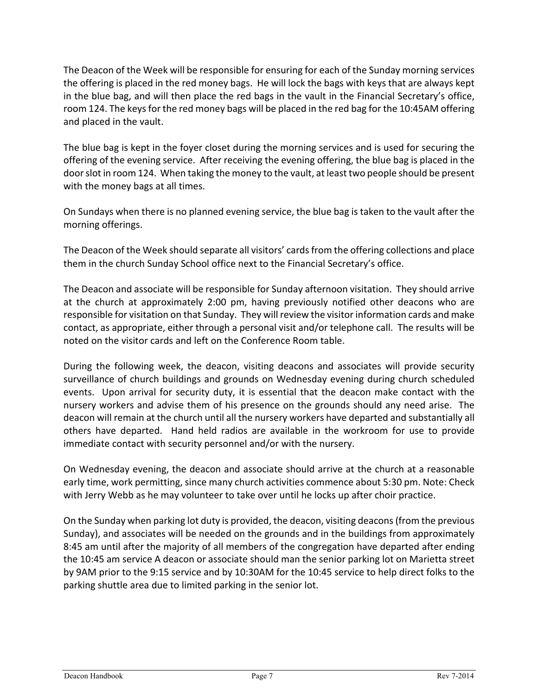The Deacon of the Week will be responsible for ensuring for each of the Sunday morning services the offering is placed in the red money bags. He will lock the bags with keys that are always kept in the blue bag, and will then place the red bags in the vault in the Financial Secretary's office, room 124. The keys for the red money bags will be placed in the red bag for the 10:45AM offering and placed in the vault.

The blue bag is kept in the foyer closet during the morning services and is used for securing the offering of the evening service. After receiving the evening offering, the blue bag is placed in the door slot in room 124. When taking the money to the vault, at least two people should be present with the money bags at all times.

On Sundays when there is no planned evening service, the blue bag is taken to the vault after the morning offerings.

The Deacon of the Week should separate all visitors' cards from the offering collections and place them in the church Sunday School office next to the Financial Secretary's office.

The Deacon and associate will be responsible for Sunday afternoon visitation. They should arrive at the church at approximately 2:00 pm, having previously notified other deacons who are responsible for visitation on that Sunday. They will review the visitor information cards and make contact, as appropriate, either through a personal visit and/or telephone call. The results will be noted on the visitor cards and left on the Conference Room table.

During the following week, the deacon, visiting deacons and associates will provide security surveillance of church buildings and grounds on Wednesday evening during church scheduled events. Upon arrival for security duty, it is essential that the deacon make contact with the nursery workers and advise them of his presence on the grounds should any need arise. The deacon will remain at the church until all the nursery workers have departed and substantially all others have departed. Hand held radios are available in the workroom for use to provide immediate contact with security personnel and/or with the nursery.

On Wednesday evening, the deacon and associate should arrive at the church at a reasonable early time, work permitting, since many church activities commence about 5:30 pm. Note: Check with Jerry Webb as he may volunteer to take over until he locks up after choir practice.

On the Sunday when parking lot duty is provided, the deacon, visiting deacons (from the previous Sunday), and associates will be needed on the grounds and in the buildings from approximately 8:45 am until after the majority of all members of the congregation have departed after ending the 10:45 am service A deacon or associate should man the senior parking lot on Marietta street by 9AM prior to the 9:15 service and by 10:30AM for the 10:45 service to help direct folks to the parking shuttle area due to limited parking in the senior lot.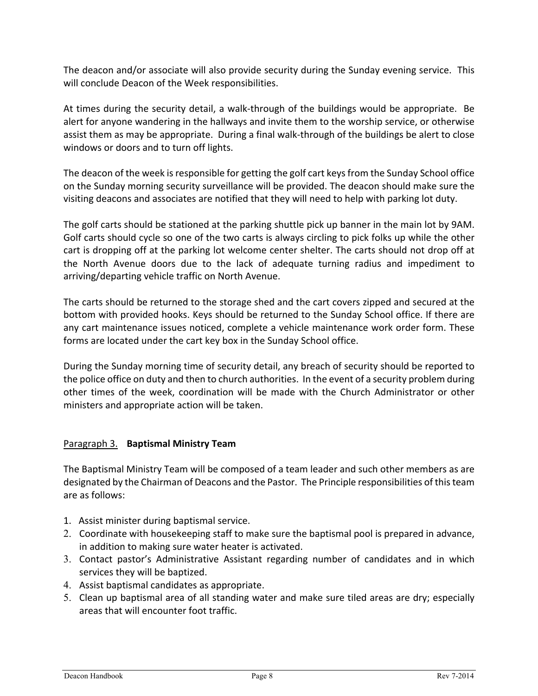The deacon and/or associate will also provide security during the Sunday evening service. This will conclude Deacon of the Week responsibilities.

At times during the security detail, a walk-through of the buildings would be appropriate. Be alert for anyone wandering in the hallways and invite them to the worship service, or otherwise assist them as may be appropriate. During a final walk-through of the buildings be alert to close windows or doors and to turn off lights.

The deacon of the week is responsible for getting the golf cart keys from the Sunday School office on the Sunday morning security surveillance will be provided. The deacon should make sure the visiting deacons and associates are notified that they will need to help with parking lot duty.

The golf carts should be stationed at the parking shuttle pick up banner in the main lot by 9AM. Golf carts should cycle so one of the two carts is always circling to pick folks up while the other cart is dropping off at the parking lot welcome center shelter. The carts should not drop off at the North Avenue doors due to the lack of adequate turning radius and impediment to arriving/departing vehicle traffic on North Avenue.

The carts should be returned to the storage shed and the cart covers zipped and secured at the bottom with provided hooks. Keys should be returned to the Sunday School office. If there are any cart maintenance issues noticed, complete a vehicle maintenance work order form. These forms are located under the cart key box in the Sunday School office.

During the Sunday morning time of security detail, any breach of security should be reported to the police office on duty and then to church authorities. In the event of a security problem during other times of the week, coordination will be made with the Church Administrator or other ministers and appropriate action will be taken.

#### Paragraph 3. **Baptismal Ministry Team**

The Baptismal Ministry Team will be composed of a team leader and such other members as are designated by the Chairman of Deacons and the Pastor. The Principle responsibilities of this team are as follows:

- 1. Assist minister during baptismal service.
- 2. Coordinate with housekeeping staff to make sure the baptismal pool is prepared in advance, in addition to making sure water heater is activated.
- 3. Contact pastor's Administrative Assistant regarding number of candidates and in which services they will be baptized.
- 4. Assist baptismal candidates as appropriate.
- 5. Clean up baptismal area of all standing water and make sure tiled areas are dry; especially areas that will encounter foot traffic.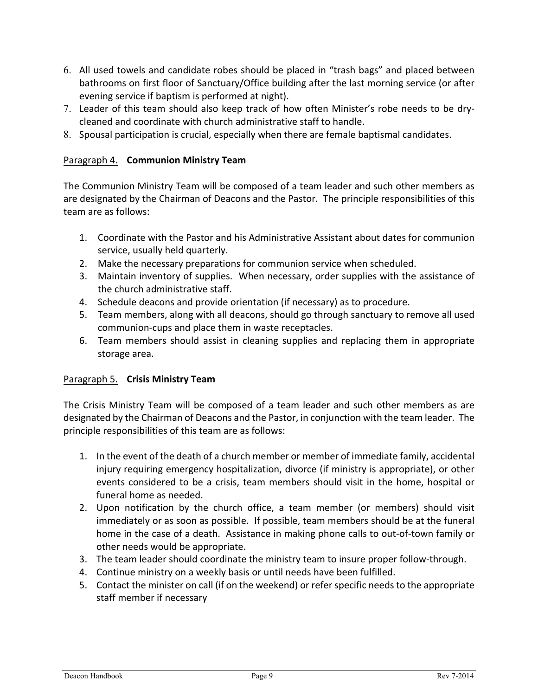- 6. All used towels and candidate robes should be placed in "trash bags" and placed between bathrooms on first floor of Sanctuary/Office building after the last morning service (or after evening service if baptism is performed at night).
- 7. Leader of this team should also keep track of how often Minister's robe needs to be drycleaned and coordinate with church administrative staff to handle.
- 8. Spousal participation is crucial, especially when there are female baptismal candidates.

#### Paragraph 4. **Communion Ministry Team**

The Communion Ministry Team will be composed of a team leader and such other members as are designated by the Chairman of Deacons and the Pastor. The principle responsibilities of this team are as follows:

- 1. Coordinate with the Pastor and his Administrative Assistant about dates for communion service, usually held quarterly.
- 2. Make the necessary preparations for communion service when scheduled.
- 3. Maintain inventory of supplies. When necessary, order supplies with the assistance of the church administrative staff.
- 4. Schedule deacons and provide orientation (if necessary) as to procedure.
- 5. Team members, along with all deacons, should go through sanctuary to remove all used communion-cups and place them in waste receptacles.
- 6. Team members should assist in cleaning supplies and replacing them in appropriate storage area.

#### Paragraph 5. **Crisis Ministry Team**

The Crisis Ministry Team will be composed of a team leader and such other members as are designated by the Chairman of Deacons and the Pastor, in conjunction with the team leader. The principle responsibilities of this team are as follows:

- 1. In the event of the death of a church member or member of immediate family, accidental injury requiring emergency hospitalization, divorce (if ministry is appropriate), or other events considered to be a crisis, team members should visit in the home, hospital or funeral home as needed.
- 2. Upon notification by the church office, a team member (or members) should visit immediately or as soon as possible. If possible, team members should be at the funeral home in the case of a death. Assistance in making phone calls to out-of-town family or other needs would be appropriate.
- 3. The team leader should coordinate the ministry team to insure proper follow-through.
- 4. Continue ministry on a weekly basis or until needs have been fulfilled.
- 5. Contact the minister on call (if on the weekend) or refer specific needs to the appropriate staff member if necessary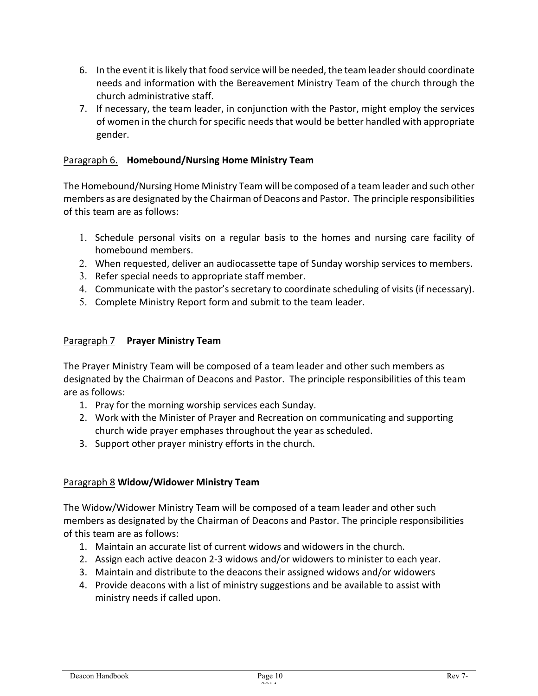- 6. In the event it is likely that food service will be needed, the team leader should coordinate needs and information with the Bereavement Ministry Team of the church through the church administrative staff.
- 7. If necessary, the team leader, in conjunction with the Pastor, might employ the services of women in the church for specific needs that would be better handled with appropriate gender.

#### Paragraph 6. **Homebound/Nursing Home Ministry Team**

The Homebound/Nursing Home Ministry Team will be composed of a team leader and such other members as are designated by the Chairman of Deacons and Pastor. The principle responsibilities of this team are as follows:

- 1. Schedule personal visits on a regular basis to the homes and nursing care facility of homebound members.
- 2. When requested, deliver an audiocassette tape of Sunday worship services to members.
- 3. Refer special needs to appropriate staff member.
- 4. Communicate with the pastor's secretary to coordinate scheduling of visits (if necessary).
- 5. Complete Ministry Report form and submit to the team leader.

#### Paragraph 7 **Prayer Ministry Team**

The Prayer Ministry Team will be composed of a team leader and other such members as designated by the Chairman of Deacons and Pastor. The principle responsibilities of this team are as follows:

- 1. Pray for the morning worship services each Sunday.
- 2. Work with the Minister of Prayer and Recreation on communicating and supporting church wide prayer emphases throughout the year as scheduled.
- 3. Support other prayer ministry efforts in the church.

#### Paragraph 8 **Widow/Widower Ministry Team**

The Widow/Widower Ministry Team will be composed of a team leader and other such members as designated by the Chairman of Deacons and Pastor. The principle responsibilities of this team are as follows:

- 1. Maintain an accurate list of current widows and widowers in the church.
- 2. Assign each active deacon 2-3 widows and/or widowers to minister to each year.
- 3. Maintain and distribute to the deacons their assigned widows and/or widowers
- 4. Provide deacons with a list of ministry suggestions and be available to assist with ministry needs if called upon.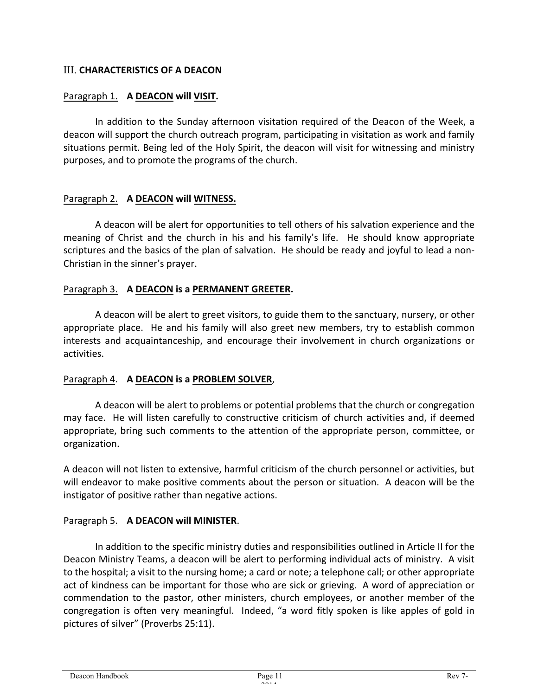#### **III. CHARACTERISTICS OF A DEACON**

#### Paragraph 1. A DEACON will VISIT.

In addition to the Sunday afternoon visitation required of the Deacon of the Week, a deacon will support the church outreach program, participating in visitation as work and family situations permit. Being led of the Holy Spirit, the deacon will visit for witnessing and ministry purposes, and to promote the programs of the church.

#### Paragraph 2. **A DEACON will WITNESS.**

A deacon will be alert for opportunities to tell others of his salvation experience and the meaning of Christ and the church in his and his family's life. He should know appropriate scriptures and the basics of the plan of salvation. He should be ready and joyful to lead a non-Christian in the sinner's prayer.

#### Paragraph 3. A DEACON is a PERMANENT GREETER.

A deacon will be alert to greet visitors, to guide them to the sanctuary, nursery, or other appropriate place. He and his family will also greet new members, try to establish common interests and acquaintanceship, and encourage their involvement in church organizations or activities.

#### Paragraph 4. A DEACON is a PROBLEM SOLVER,

A deacon will be alert to problems or potential problems that the church or congregation may face. He will listen carefully to constructive criticism of church activities and, if deemed appropriate, bring such comments to the attention of the appropriate person, committee, or organization. 

A deacon will not listen to extensive, harmful criticism of the church personnel or activities, but will endeavor to make positive comments about the person or situation. A deacon will be the instigator of positive rather than negative actions.

#### Paragraph 5. **A DEACON will MINISTER.**

In addition to the specific ministry duties and responsibilities outlined in Article II for the Deacon Ministry Teams, a deacon will be alert to performing individual acts of ministry. A visit to the hospital; a visit to the nursing home; a card or note; a telephone call; or other appropriate act of kindness can be important for those who are sick or grieving. A word of appreciation or commendation to the pastor, other ministers, church employees, or another member of the congregation is often very meaningful. Indeed, "a word fitly spoken is like apples of gold in pictures of silver" (Proverbs 25:11).